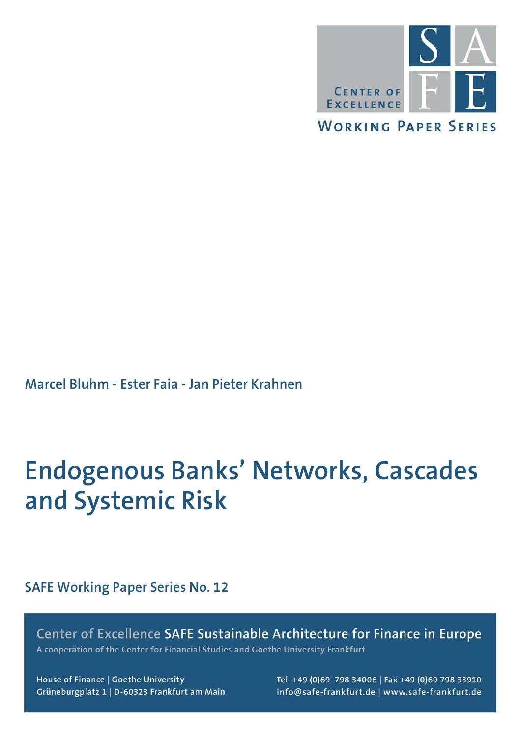

**Marcel Bluhm - Ester Faia - Jan Pieter Krahnen**

## **Endogenous Banks' Networks, Cascades and Systemic Risk**

**SAFE Working Paper Series No. 12**

Center of Excellence SAFE Sustainable Architecture for Finance in Europe A cooperation of the Center for Financial Studies and Goethe University Frankfurt

House of Finance | Goethe University Grüneburgplatz 1 | D-60323 Frankfurt am Main Tel. +49 (0)69 798 34006 | Fax +49 (0)69 798 33910 info@safe-frankfurt.de | www.safe-frankfurt.de